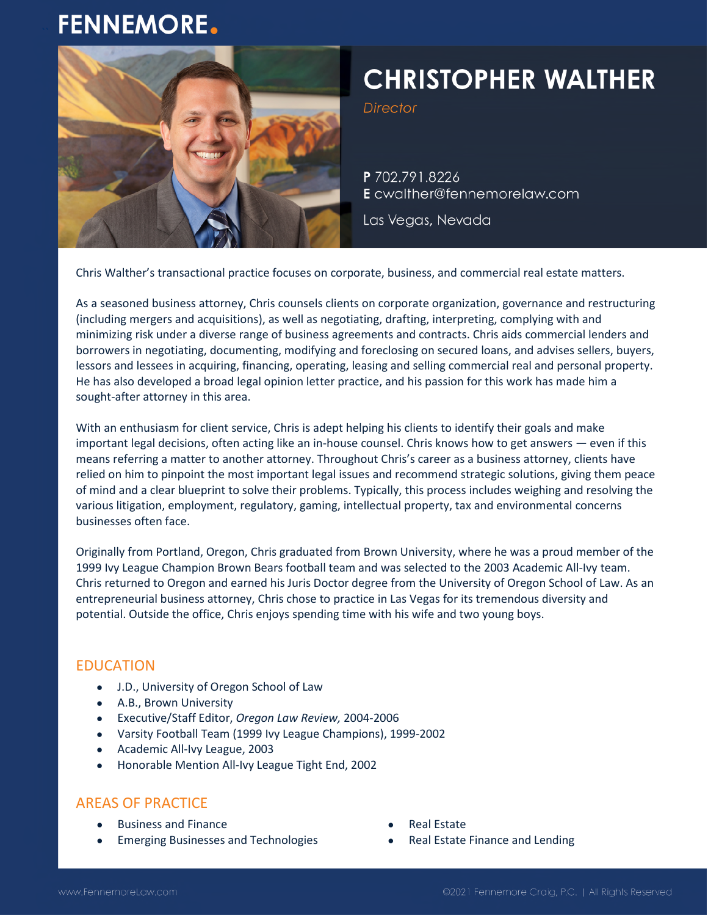# **FENNEMORE.**



# **CHRISTOPHER WALTHER**

**Director** 

P 702.791.8226 E cwalther@fennemorelaw.com

Las Vegas, Nevada

Chris Walther's transactional practice focuses on corporate, business, and commercial real estate matters.

As a seasoned business attorney, Chris counsels clients on corporate organization, governance and restructuring (including mergers and acquisitions), as well as negotiating, drafting, interpreting, complying with and minimizing risk under a diverse range of business agreements and contracts. Chris aids commercial lenders and borrowers in negotiating, documenting, modifying and foreclosing on secured loans, and advises sellers, buyers, lessors and lessees in acquiring, financing, operating, leasing and selling commercial real and personal property. He has also developed a broad legal opinion letter practice, and his passion for this work has made him a sought-after attorney in this area.

With an enthusiasm for client service, Chris is adept helping his clients to identify their goals and make important legal decisions, often acting like an in-house counsel. Chris knows how to get answers — even if this means referring a matter to another attorney. Throughout Chris's career as a business attorney, clients have relied on him to pinpoint the most important legal issues and recommend strategic solutions, giving them peace of mind and a clear blueprint to solve their problems. Typically, this process includes weighing and resolving the various litigation, employment, regulatory, gaming, intellectual property, tax and environmental concerns businesses often face.

Originally from Portland, Oregon, Chris graduated from Brown University, where he was a proud member of the 1999 Ivy League Champion Brown Bears football team and was selected to the 2003 Academic All-Ivy team. Chris returned to Oregon and earned his Juris Doctor degree from the University of Oregon School of Law. As an entrepreneurial business attorney, Chris chose to practice in Las Vegas for its tremendous diversity and potential. Outside the office, Chris enjoys spending time with his wife and two young boys.

### EDUCATION

- J.D., University of Oregon School of Law
- A.B., Brown University
- Executive/Staff Editor, *Oregon Law Review,* 2004-2006
- Varsity Football Team (1999 Ivy League Champions), 1999-2002
- Academic All-Ivy League, 2003
- Honorable Mention All-Ivy League Tight End, 2002

## AREAS OF PRACTICE

- Business and Finance
- Emerging Businesses and Technologies
- Real Estate
- Real Estate Finance and Lending